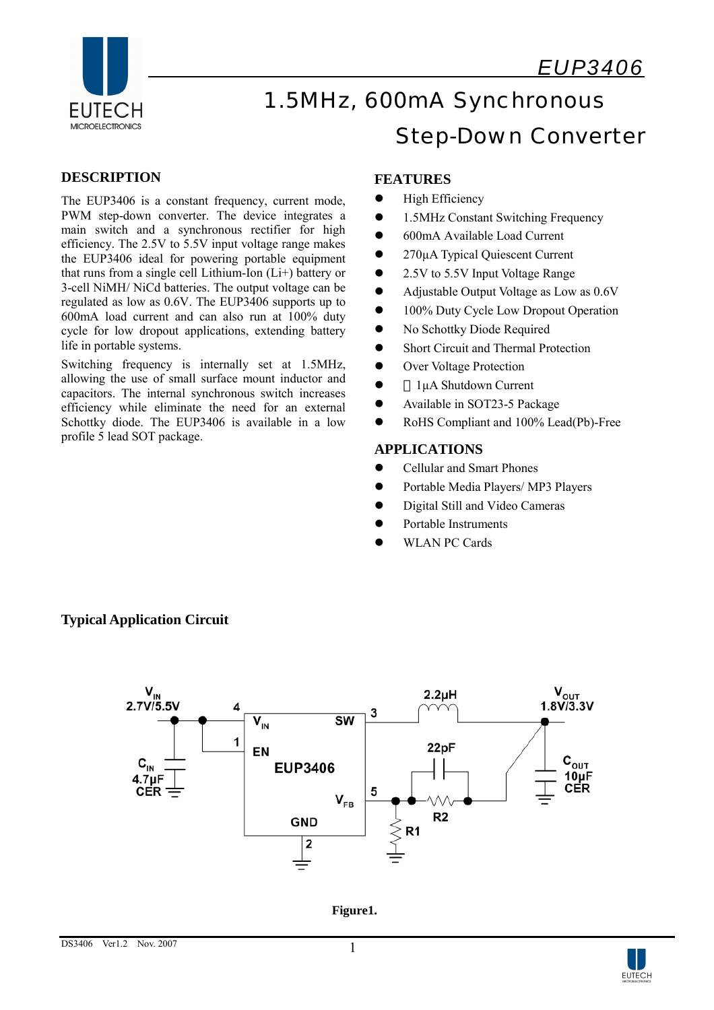

# EUTECH 1.5MHz, 600mA Synchronous MICROELECTRONICS<br>
Step-Down Converter

## **DESCRIPTION**

The EUP3406 is a constant frequency, current mode, PWM step-down converter. The device integrates a main switch and a synchronous rectifier for high efficiency. The 2.5V to 5.5V input voltage range makes the EUP3406 ideal for powering portable equipment that runs from a single cell Lithium-Ion (Li+) battery or 3-cell NiMH/ NiCd batteries. The output voltage can be regulated as low as 0.6V. The EUP3406 supports up to 600mA load current and can also run at 100% duty cycle for low dropout applications, extending battery life in portable systems.

Switching frequency is internally set at 1.5MHz, allowing the use of small surface mount inductor and capacitors. The internal synchronous switch increases efficiency while eliminate the need for an external Schottky diode. The EUP3406 is available in a low profile 5 lead SOT package.

### **FEATURES**

- $\bullet$  High Efficiency
- 1.5MHz Constant Switching Frequency
- 600mA Available Load Current
- 270µA Typical Quiescent Current
- 2.5V to 5.5V Input Voltage Range
- Adjustable Output Voltage as Low as 0.6V
- 100% Duty Cycle Low Dropout Operation
- No Schottky Diode Required
- Short Circuit and Thermal Protection
- Over Voltage Protection
- $\bullet$  1µA Shutdown Current
- Available in SOT23-5 Package
- RoHS Compliant and 100% Lead(Pb)-Free

#### **APPLICATIONS**

- Cellular and Smart Phones
- Portable Media Players/ MP3 Players
- Digital Still and Video Cameras
- Portable Instruments
- WLAN PC Cards



## **Typical Application Circuit**

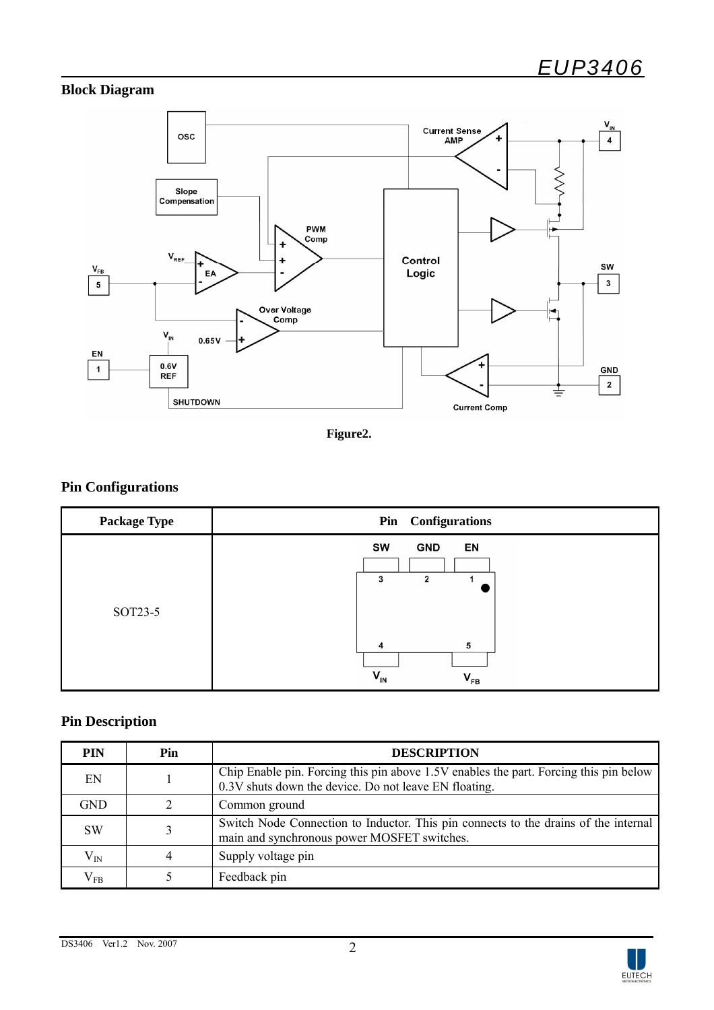## **Block Diagram**



**Figure2.** 

## **Pin Configurations**

| <b>Package Type</b> | Pin Configurations                                                                   |  |  |
|---------------------|--------------------------------------------------------------------------------------|--|--|
| SOT23-5             | SW<br><b>GND</b><br>EN<br>2<br>3<br>5<br>4<br>$V_{IN}$<br>$\mathbf{V}_{\mathsf{FB}}$ |  |  |

## **Pin Description**

| <b>PIN</b>   | Pin | <b>DESCRIPTION</b>                                                                                                                             |
|--------------|-----|------------------------------------------------------------------------------------------------------------------------------------------------|
| EN           |     | Chip Enable pin. Forcing this pin above 1.5V enables the part. Forcing this pin below<br>0.3V shuts down the device. Do not leave EN floating. |
| <b>GND</b>   |     | Common ground                                                                                                                                  |
| <b>SW</b>    |     | Switch Node Connection to Inductor. This pin connects to the drains of the internal<br>main and synchronous power MOSFET switches.             |
| $\rm V_{IN}$ |     | Supply voltage pin                                                                                                                             |
| $\rm V_{FB}$ |     | Feedback pin                                                                                                                                   |

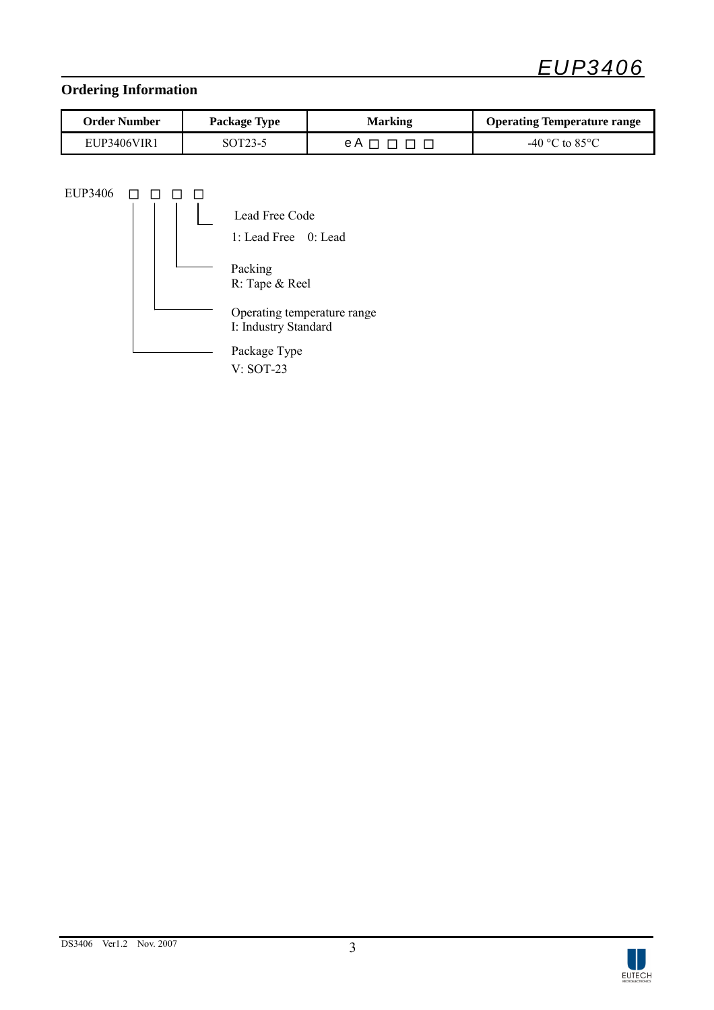

# **Ordering Information**

| Order Number | <b>Package Type</b> | Marking | <b>Operating Temperature range</b> |
|--------------|---------------------|---------|------------------------------------|
| EUP3406VIR1  | SOT23-5             | eА      | -40 °C to 85 °C                    |

 $EUP3406$ 

|  | Lead Free Code<br>1: Lead Free $0:$ Lead            |
|--|-----------------------------------------------------|
|  | Packing<br>R: Tape & Reel                           |
|  | Operating temperature range<br>I: Industry Standard |
|  | Package Type                                        |

V: SOT-23

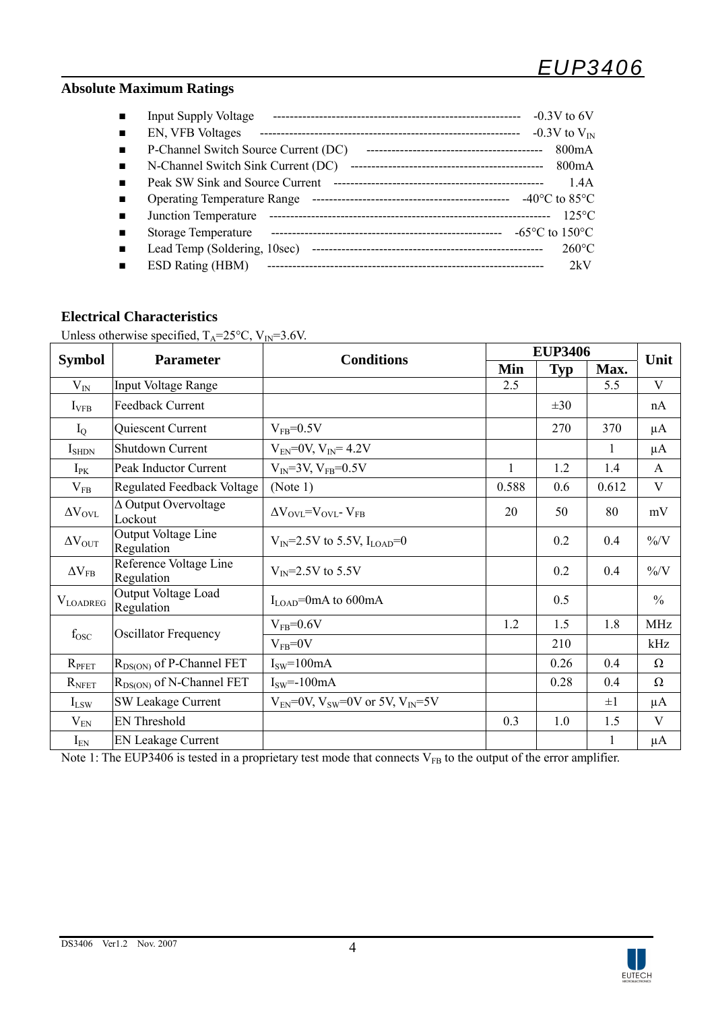## **Absolute Maximum Ratings**

| <b>Input Supply Voltage</b>                            | $-0.3V$ to 6V                       |
|--------------------------------------------------------|-------------------------------------|
| EN, VFB Voltages                                       | $-0.3V$ to $V_{IN}$                 |
| P-Channel Switch Source Current (DC)<br>$\blacksquare$ | 800mA                               |
| N-Channel Switch Sink Current (DC)                     | 800mA                               |
| Peak SW Sink and Source Current<br>$\blacksquare$      | 1.4A                                |
| <b>Operating Temperature Range</b>                     | $-40^{\circ}$ C to 85 $^{\circ}$ C  |
| Junction Temperature<br>$\blacksquare$                 | $125^{\circ}$ C                     |
| Storage Temperature                                    | $-65^{\circ}$ C to 150 $^{\circ}$ C |
| Lead Temp (Soldering, 10sec)<br>$\blacksquare$         | $260^{\circ}$ C                     |
| ESD Rating (HBM)                                       | 2kV                                 |

## **Electrical Characteristics**

Unless otherwise specified,  $T_A = 25^{\circ}C$ ,  $V_{IN} = 3.6V$ .

|                      |                                        |                                                     | <b>EUP3406</b> |            |         |               |
|----------------------|----------------------------------------|-----------------------------------------------------|----------------|------------|---------|---------------|
| <b>Symbol</b>        | <b>Parameter</b>                       | <b>Conditions</b>                                   | Min            | <b>Typ</b> | Max.    | Unit          |
| $\rm V_{IN}$         | Input Voltage Range                    |                                                     | 2.5            |            | 5.5     | V             |
| $I_{\rm VFB}$        | Feedback Current                       |                                                     |                | $\pm 30$   |         | nA            |
| $I_{Q}$              | Quiescent Current                      | $V_{FB} = 0.5V$                                     |                | 270        | 370     | $\mu A$       |
| $I_{\text{SHDN}}$    | Shutdown Current                       | $V_{EN} = 0V$ , $V_{IN} = 4.2V$                     |                |            | 1       | $\mu A$       |
| $I_{PK}$             | Peak Inductor Current                  | $V_{IN} = 3V, V_{FB} = 0.5V$                        | $\mathbf{1}$   | 1.2        | 1.4     | $\mathsf{A}$  |
| $V_{FB}$             | Regulated Feedback Voltage             | (Note 1)                                            | 0.588          | 0.6        | 0.612   | V             |
| $\Delta V_{\rm OVL}$ | $\Delta$ Output Overvoltage<br>Lockout | $\Delta V_{\rm OVI}$ = $V_{\rm OVI}$ - $V_{\rm FR}$ | 20             | 50         | 80      | mV            |
| $\Delta V_{OUT}$     | Output Voltage Line<br>Regulation      | $V_{IN}$ =2.5V to 5.5V, I <sub>LOAD</sub> =0        |                | 0.2        | 0.4     | $\frac{9}{6}$ |
| $\Delta V_{FB}$      | Reference Voltage Line<br>Regulation   | $V_{\text{IN}} = 2.5V$ to 5.5V                      |                | 0.2        | 0.4     | $\frac{9}{6}$ |
| $\rm V_{LOADREG}$    | Output Voltage Load<br>Regulation      | $I_{\text{LOAD}}$ =0mA to 600mA                     |                | 0.5        |         | $\frac{0}{0}$ |
|                      |                                        | $V_{FB} = 0.6V$                                     | 1.2            | 1.5        | 1.8     | <b>MHz</b>    |
| $f_{\rm{OSC}}$       | <b>Oscillator Frequency</b>            | $V_{FB} = 0V$                                       | 0.3            | 210        |         | kHz           |
| $R_{\text{PFET}}$    | $R_{DS(ON)}$ of P-Channel FET          | $Isw=100mA$                                         |                | 0.26       | 0.4     | $\Omega$      |
| $R_{\text{NFET}}$    | $R_{DS(ON)}$ of N-Channel FET          | $ISW=-100mA$                                        |                | 0.28       | 0.4     | $\Omega$      |
| $I_{LSW}$            | <b>SW Leakage Current</b>              | $V_{EN}$ =0V, $V_{SW}$ =0V or 5V, $V_{IN}$ =5V      |                |            | $\pm 1$ | μA            |
| $V_{EN}$             | <b>EN Threshold</b>                    |                                                     |                | 1.0        | 1.5     | V             |
| $I_{EN}$             | <b>EN Leakage Current</b>              |                                                     |                |            | 1       | μA            |

Note 1: The EUP3406 is tested in a proprietary test mode that connects  $V_{FB}$  to the output of the error amplifier.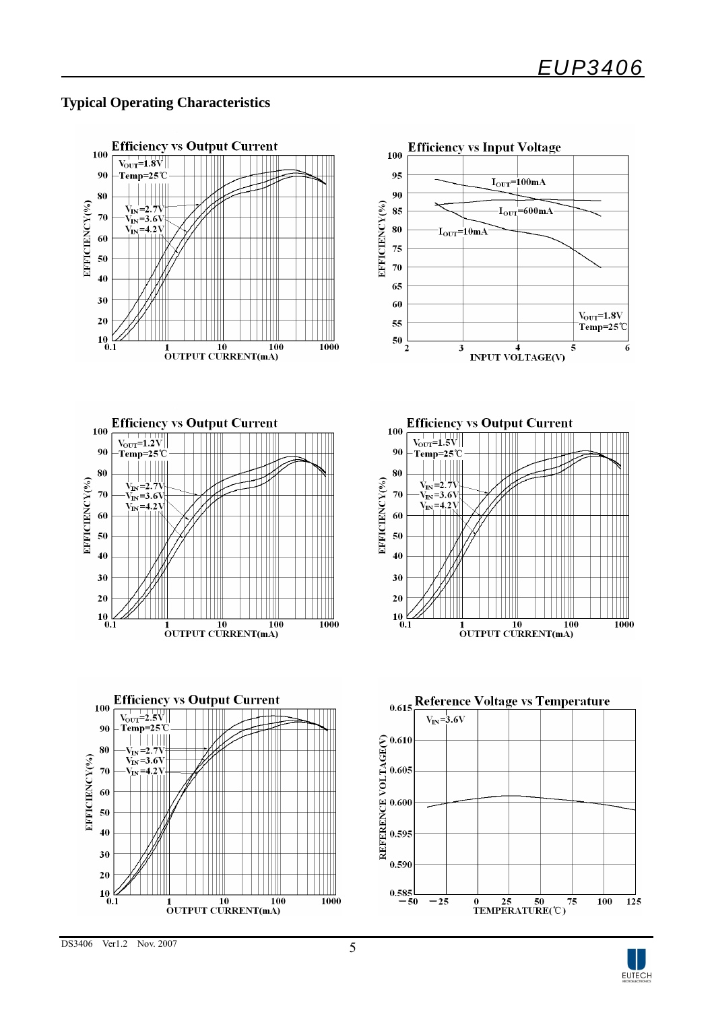## **Typical Operating Characteristics**



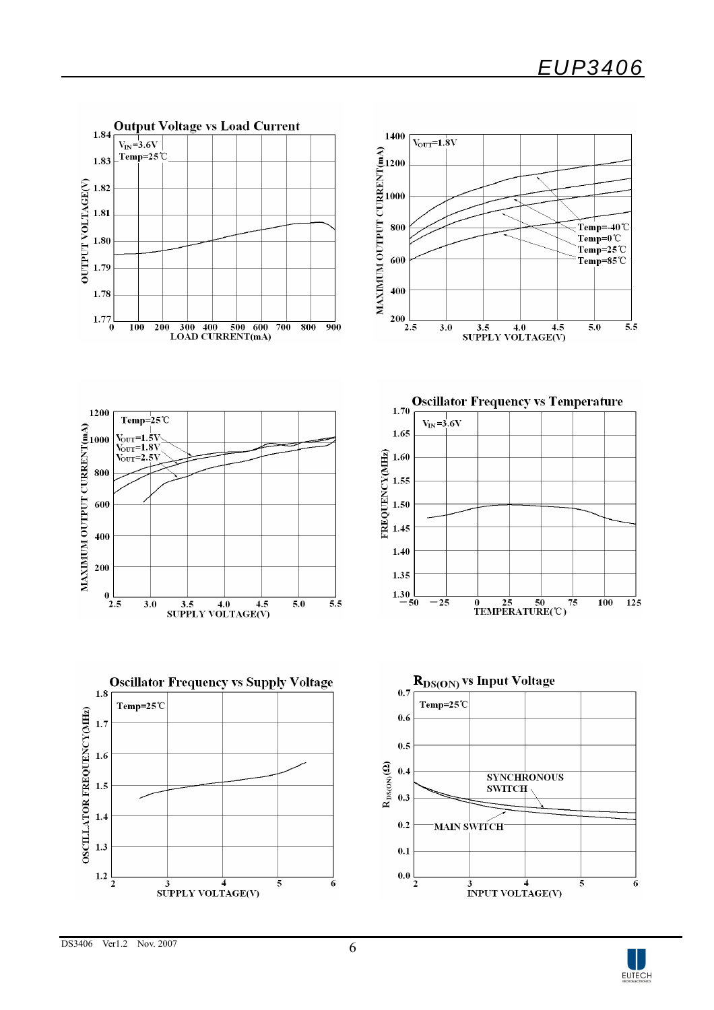

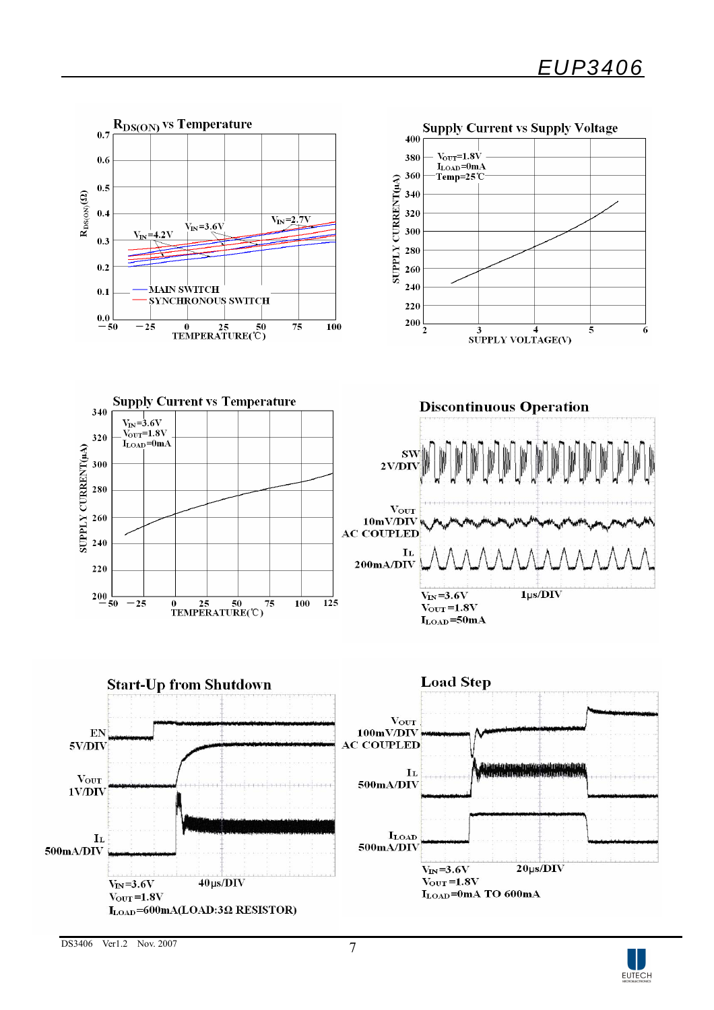



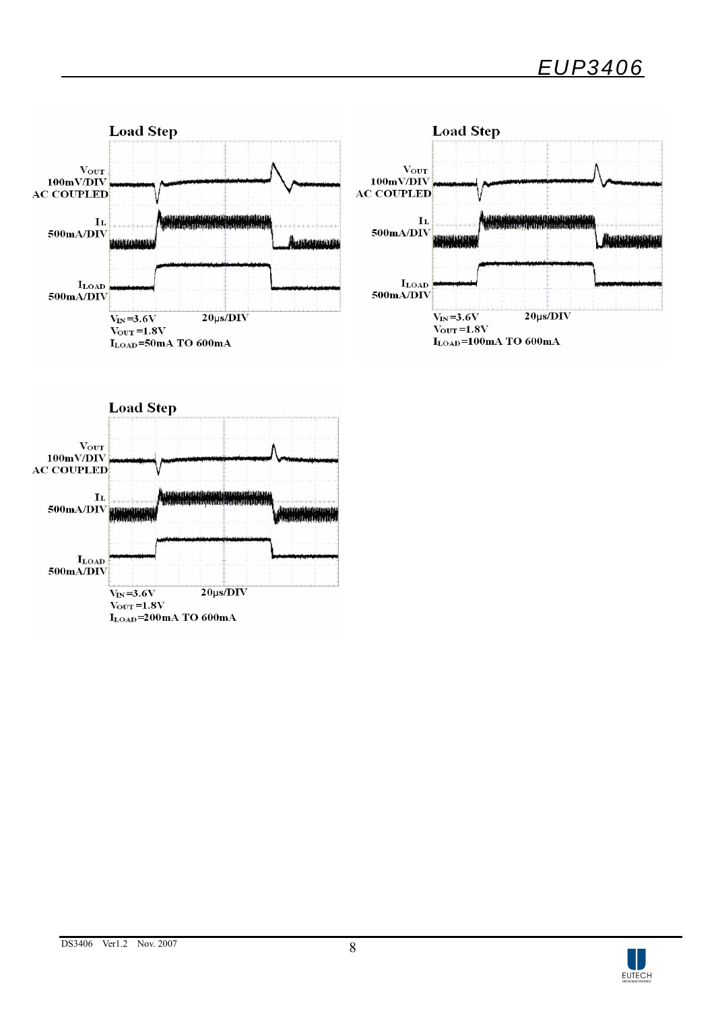



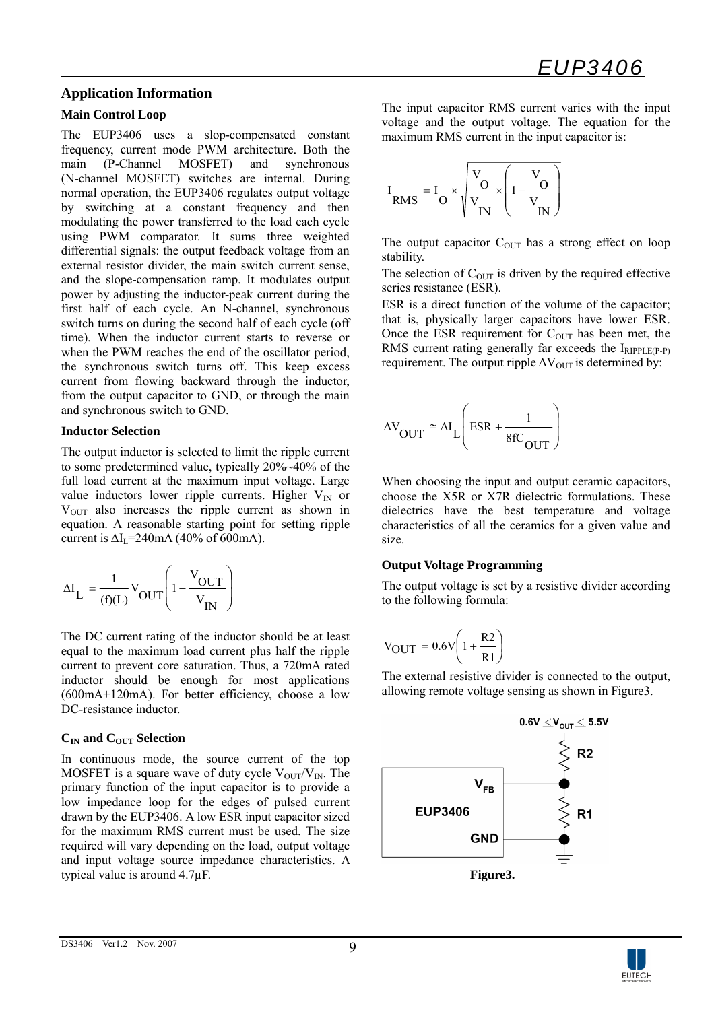### **Application Information**

#### **Main Control Loop**

The EUP3406 uses a slop-compensated constant frequency, current mode PWM architecture. Both the main (P-Channel MOSFET) and synchronous (N-channel MOSFET) switches are internal. During normal operation, the EUP3406 regulates output voltage by switching at a constant frequency and then modulating the power transferred to the load each cycle using PWM comparator. It sums three weighted differential signals: the output feedback voltage from an external resistor divider, the main switch current sense, and the slope-compensation ramp. It modulates output power by adjusting the inductor-peak current during the first half of each cycle. An N-channel, synchronous switch turns on during the second half of each cycle (off time). When the inductor current starts to reverse or when the PWM reaches the end of the oscillator period, the synchronous switch turns off. This keep excess current from flowing backward through the inductor, from the output capacitor to GND, or through the main and synchronous switch to GND.

#### **Inductor Selection**

The output inductor is selected to limit the ripple current to some predetermined value, typically 20%~40% of the full load current at the maximum input voltage. Large value inductors lower ripple currents. Higher  $V_{IN}$  or  $V<sub>OUT</sub>$  also increases the ripple current as shown in equation. A reasonable starting point for setting ripple current is  $\Delta I_1$ =240mA (40% of 600mA).

$$
\Delta I_{L} = \frac{1}{(f)(L)} V_{OUT} \left( 1 - \frac{V_{OUT}}{V_{IN}} \right)
$$

The DC current rating of the inductor should be at least equal to the maximum load current plus half the ripple current to prevent core saturation. Thus, a 720mA rated inductor should be enough for most applications (600mA+120mA). For better efficiency, choose a low DC-resistance inductor.

#### $C<sub>IN</sub>$  and  $C<sub>OUT</sub>$  Selection

In continuous mode, the source current of the top MOSFET is a square wave of duty cycle  $V_{\text{OUT}}/V_{\text{IN}}$ . The primary function of the input capacitor is to provide a low impedance loop for the edges of pulsed current drawn by the EUP3406. A low ESR input capacitor sized for the maximum RMS current must be used. The size required will vary depending on the load, output voltage and input voltage source impedance characteristics. A typical value is around 4.7µF.

The input capacitor RMS current varies with the input voltage and the output voltage. The equation for the maximum RMS current in the input capacitor is:

$$
I_{RMS} = I_O \times \sqrt{\frac{V_O}{V_{IN}} \times \left(1 - \frac{V_O}{V_{IN}}\right)}
$$

The output capacitor  $C_{\text{OUT}}$  has a strong effect on loop stability.

The selection of  $C_{\text{OUT}}$  is driven by the required effective series resistance (ESR).

ESR is a direct function of the volume of the capacitor; that is, physically larger capacitors have lower ESR. Once the ESR requirement for  $C<sub>OUT</sub>$  has been met, the RMS current rating generally far exceeds the IRIPPLE(P-P) requirement. The output ripple  $\Delta V_{\text{OUT}}$  is determined by:

$$
\Delta V_{\text{OUT}} \cong \Delta I_{\text{L}} \left( \text{ESR} + \frac{1}{8 \text{fC}_{\text{OUT}}} \right)
$$

When choosing the input and output ceramic capacitors, choose the X5R or X7R dielectric formulations. These dielectrics have the best temperature and voltage characteristics of all the ceramics for a given value and size.

#### **Output Voltage Programming**

The output voltage is set by a resistive divider according to the following formula:

$$
V_{OUT} = 0.6V \left( 1 + \frac{R2}{R1} \right)
$$

The external resistive divider is connected to the output, allowing remote voltage sensing as shown in Figure3.



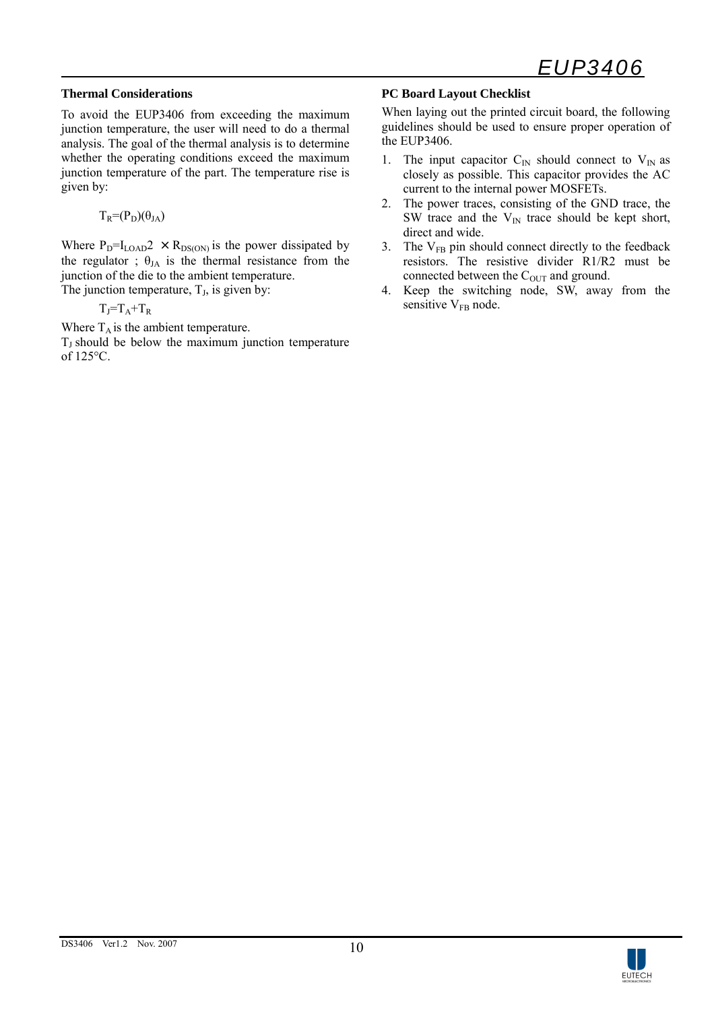#### **Thermal Considerations**

To avoid the EUP3406 from exceeding the maximum junction temperature, the user will need to do a thermal analysis. The goal of the thermal analysis is to determine whether the operating conditions exceed the maximum junction temperature of the part. The temperature rise is given by:

$$
T_R = (P_D)(\theta_{JA})
$$

Where  $P_D=I_{LOAD}2 \times R_{DS(ON)}$  is the power dissipated by the regulator ;  $\theta_{JA}$  is the thermal resistance from the junction of the die to the ambient temperature. The junction temperature,  $T_J$ , is given by:

 $T_J = T_A + T_R$ 

Where  $T_A$  is the ambient temperature.

 $T_J$  should be below the maximum junction temperature of 125°C.

#### **PC Board Layout Checklist**

When laying out the printed circuit board, the following guidelines should be used to ensure proper operation of the EUP3406.

- 1. The input capacitor  $C_{\text{IN}}$  should connect to  $V_{\text{IN}}$  as closely as possible. This capacitor provides the AC current to the internal power MOSFETs.
- 2. The power traces, consisting of the GND trace, the SW trace and the  $V_{IN}$  trace should be kept short, direct and wide.
- 3. The  $V_{FB}$  pin should connect directly to the feedback resistors. The resistive divider R1/R2 must be connected between the  $C<sub>OUT</sub>$  and ground.
- 4. Keep the switching node, SW, away from the sensitive V<sub>FB</sub> node.